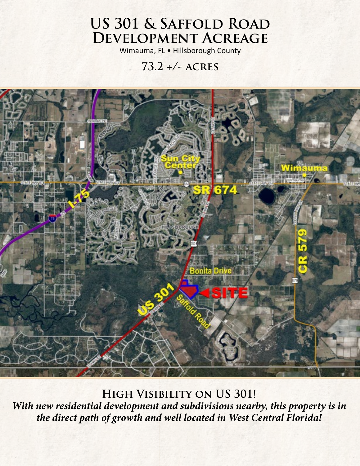# **US 301 & Saffold Road Development Acreage**

Wimauma, FL • Hillsborough County

## **73.2 +/- acres**



**High Visibility on US 301!** *With new residential development and subdivisions nearby, this property is in the direct path of growth and well located in West Central Florida!*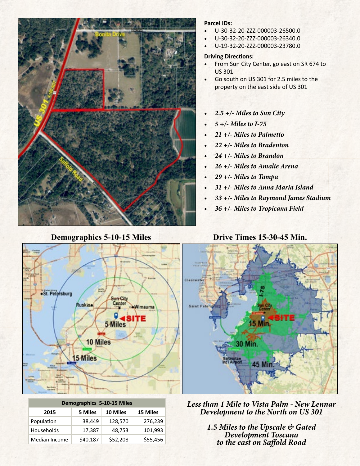

#### **Parcel IDs:**

- U-30-32-20-ZZZ-000003-26500.0
- U-30-32-20-ZZZ-000003-26340.0
- U-19-32-20-ZZZ-000003-23780.0

#### **Driving Directions:**

- From Sun City Center, go east on SR 674 to US 301
- Go south on US 301 for 2.5 miles to the property on the east side of US 301
- *• 2.5 +/- Miles to Sun City*
- *• 5 +/- Miles to I-75*
- *• 21 +/- Miles to Palmetto*
- *• 22 +/- Miles to Bradenton*
- *• 24 +/- Miles to Brandon*
- *• 26 +/- Miles to Amalie Arena*
- *• 29 +/- Miles to Tampa*
- *• 31 +/- Miles to Anna Maria Island*
- *• 33 +/- Miles to Raymond James Stadium*
- *• 36 +/- Miles to Tropicana Field*

#### **Demographics 5-10-15 Miles Drive Times 15-30-45 Min.**



| <b>Demographics 5-10-15 Miles</b> |          |          |          |
|-----------------------------------|----------|----------|----------|
| 2015                              | 5 Miles  | 10 Miles | 15 Miles |
| Population                        | 38,449   | 128,570  | 276,239  |
| Households                        | 17,387   | 48,753   | 101,993  |
| Median Income                     | \$40,187 | \$52,208 | \$55,456 |

*Less than 1 Mile to Vista Palm - New Lennar Development to the North on US 301*

*1.5 Miles to the Upscale & Gated Development Toscana to the east on Saffold Road*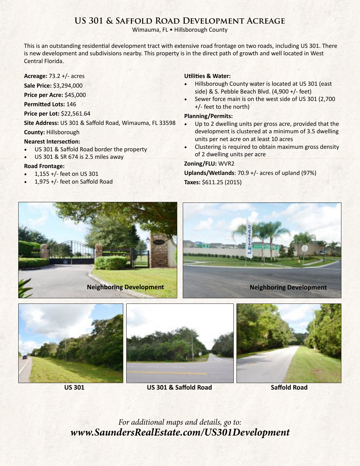### **US 301 & Saffold Road Development Acreage**

Wimauma, FL • Hillsborough County

This is an outstanding residential development tract with extensive road frontage on two roads, including US 301. There is new development and subdivisions nearby. This property is in the direct path of growth and well located in West Central Florida.

**Acreage:** 73.2 +/- acres

**Sale Price:** \$3,294,000

**Price per Acre:** \$45,000

**Permitted Lots:** 146

**Price per Lot:** \$22,561.64

**Site Address:** US 301 & Saffold Road, Wimauma, FL 33598

**County:** Hillsborough

#### **Nearest Intersection:**

- US 301 & Saffold Road border the property
- US 301 & SR 674 is 2.5 miles away

#### **Road Frontage:**

- 1,155 +/- feet on US 301
- 1,975 +/- feet on Saffold Road

#### **Utilities & Water:**

- Hillsborough County water is located at US 301 (east side) & S. Pebble Beach Blvd. (4,900 +/- feet)
- Sewer force main is on the west side of US 301 (2,700) +/- feet to the north)

#### **Planning/Permits:**

- Up to 2 dwelling units per gross acre, provided that the development is clustered at a minimum of 3.5 dwelling units per net acre on at least 10 acres
- Clustering is required to obtain maximum gross density of 2 dwelling units per acre

#### **Zoning/FLU:** WVR2

**Uplands/Wetlands**: 70.9 +/- acres of upland (97%) **Taxes:** \$611.25 (2015)





**US 301 US 301 & Saffold Road Saffold Road**

*For additional maps and details, go to: [www.SaundersRealEstate.com/US3](http://www.SaundersRealEstate.com/US301Development)01Development*